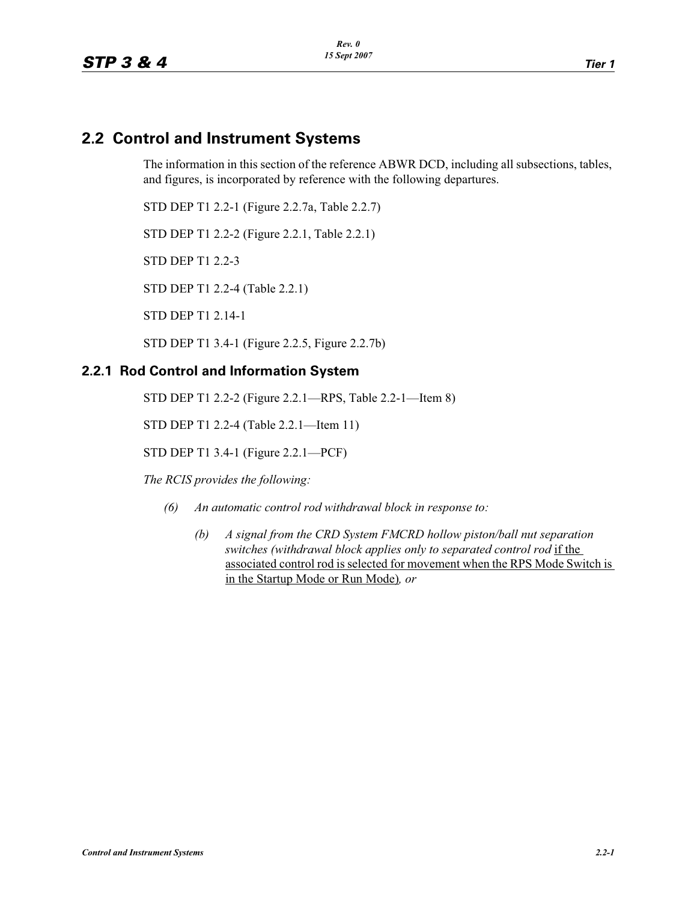# **2.2 Control and Instrument Systems**

The information in this section of the reference ABWR DCD, including all subsections, tables, and figures, is incorporated by reference with the following departures.

STD DEP T1 2.2-1 (Figure 2.2.7a, Table 2.2.7)

STD DEP T1 2.2-2 (Figure 2.2.1, Table 2.2.1)

STD DEP T1 2.2-3

STD DEP T1 2.2-4 (Table 2.2.1)

STD DEP T1 2.14-1

STD DEP T1 3.4-1 (Figure 2.2.5, Figure 2.2.7b)

## **2.2.1 Rod Control and Information System**

STD DEP T1 2.2-2 (Figure 2.2.1—RPS, Table 2.2-1—Item 8)

STD DEP T1 2.2-4 (Table 2.2.1—Item 11)

STD DEP T1 3.4-1 (Figure 2.2.1—PCF)

*The RCIS provides the following:*

- *(6) An automatic control rod withdrawal block in response to:*
	- *(b) A signal from the CRD System FMCRD hollow piston/ball nut separation switches (withdrawal block applies only to separated control rod* if the associated control rod is selected for movement when the RPS Mode Switch is in the Startup Mode or Run Mode)*, or*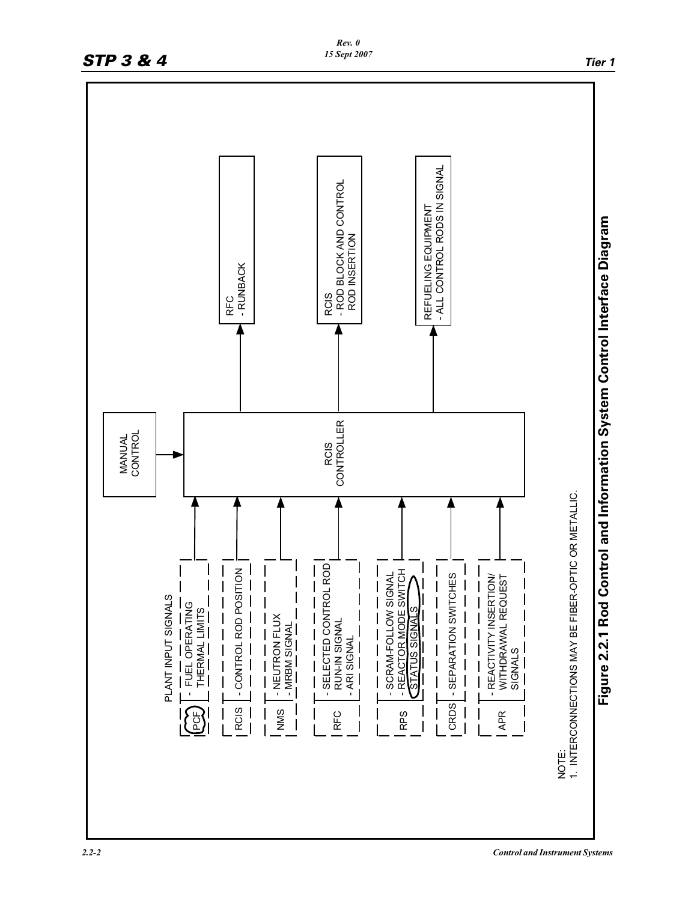

*Rev. 0*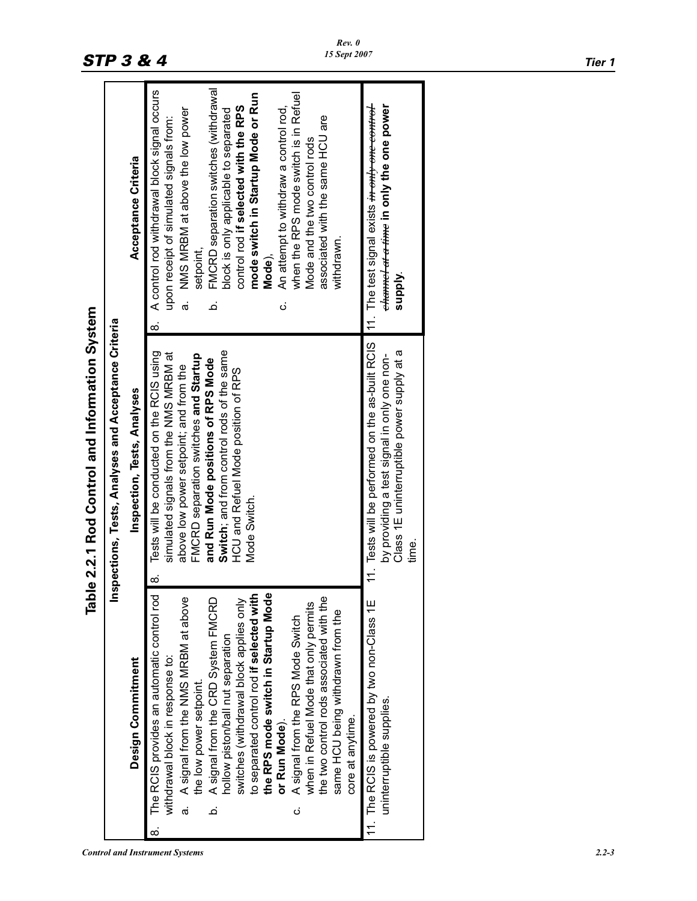|                                             |                                                      | Acceptance Criteria                | FMCRD separation switches (withdrawal<br>A control rod withdrawal block signal occurs<br>mode switch in Startup Mode or Run<br>when the RPS mode switch is in Refuel<br>control rod if selected with the RPS<br>An attempt to withdraw a control rod,<br>a. NMS MRBM at above the low power<br>block is only applicable to separated<br>associated with the same HCU are<br>upon receipt of simulated signals from:<br>Mode and the two control rods<br>withdrawn.<br>setpoint,<br>Mode),<br>ن<br><br>ö<br>$\infty$                                                                          | 11. The test signal exists <del>in only <i>one control</i>-</del><br><del>channel at a time</del> in only the one power<br>supply.                     |
|---------------------------------------------|------------------------------------------------------|------------------------------------|----------------------------------------------------------------------------------------------------------------------------------------------------------------------------------------------------------------------------------------------------------------------------------------------------------------------------------------------------------------------------------------------------------------------------------------------------------------------------------------------------------------------------------------------------------------------------------------------|--------------------------------------------------------------------------------------------------------------------------------------------------------|
| le 2.2.1 Rod Control and Information System | Inspections, Tests, Analyses and Acceptance Criteria | <b>Inspection, Tests, Analyses</b> | Tests will be conducted on the RCIS using<br>Switch; and from control rods of the same<br>simulated signals from the NMS MRBM at<br>FMCRD separation switches and Startup<br>and Run Mode positions of RPS Mode<br>above low power setpoint; and from the<br>HCU and Refuel Mode position of RPS<br>Mode Switch.<br>ထံ                                                                                                                                                                                                                                                                       | 11. Tests will be performed on the as-built RCIS<br>Class 1E uninterruptible power supply at a<br>by providing a test signal in only one non-<br>time. |
| lda<br>Tabl                                 |                                                      | Design Commitment                  | The RCIS provides an automatic control rod<br>to separated control rod if selected with<br>the RPS mode switch in Startup Mode<br>the two control rods associated with the<br>A signal from the NMS MRBM at above<br>A signal from the CRD System FMCRD<br>switches (withdrawal block applies only<br>when in Refuel Mode that only permits<br>same HCU being withdrawn from the<br>A signal from the RPS Mode Switch<br>hollow piston/ball nut separation<br>withdrawal block in response to:<br>the low power setpoint.<br>core at anytime.<br>or Run Mode).<br>.<br>ത<br>ö<br>ن<br><br>ထံ | 11. The RCIS is powered by two non-Class 1E<br>uninterruptible supplies.                                                                               |

# Table 2.2.1 Rod Control and Information System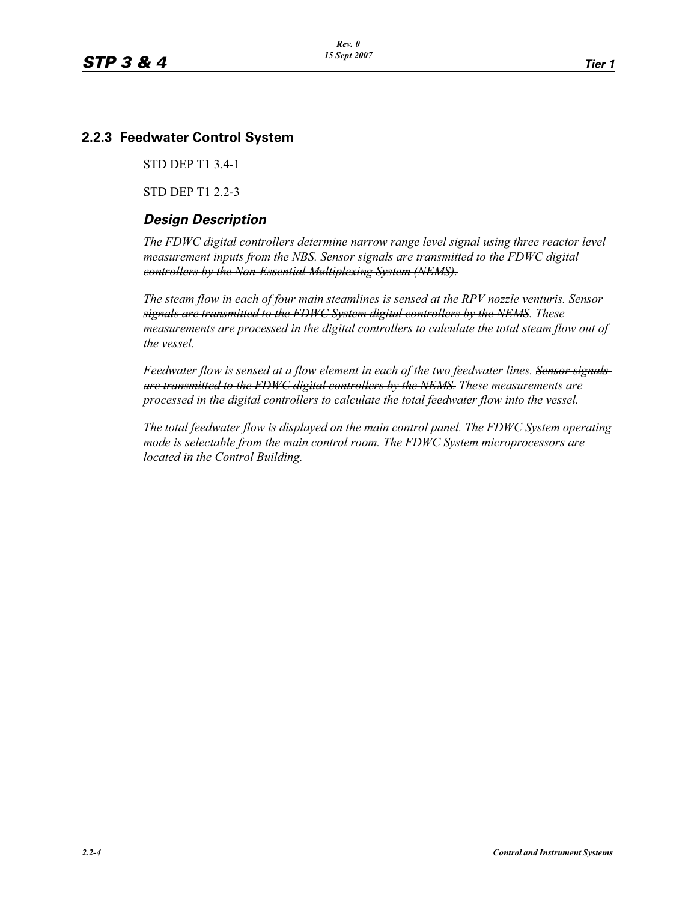# **2.2.3 Feedwater Control System**

STD DEP T1 3.4-1

STD DEP T1 2.2-3

# *Design Description*

*The FDWC digital controllers determine narrow range level signal using three reactor level measurement inputs from the NBS. Sensor signals are transmitted to the FDWC digital controllers by the Non-Essential Multiplexing System (NEMS).*

The steam flow in each of four main steamlines is sensed at the RPV nozzle venturis. Sensor*signals are transmitted to the FDWC System digital controllers by the NEMS. These measurements are processed in the digital controllers to calculate the total steam flow out of the vessel.*

*Feedwater flow is sensed at a flow element in each of the two feedwater lines. Sensor signals are transmitted to the FDWC digital controllers by the NEMS. These measurements are processed in the digital controllers to calculate the total feedwater flow into the vessel.*

*The total feedwater flow is displayed on the main control panel. The FDWC System operating mode is selectable from the main control room. The FDWC System microprocessors are located in the Control Building.*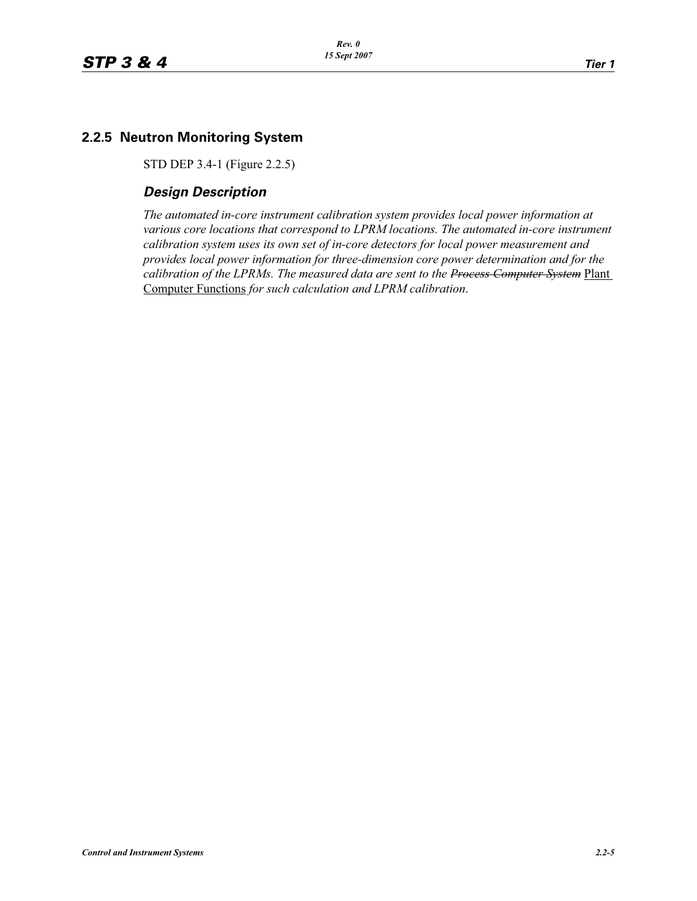# **2.2.5 Neutron Monitoring System**

STD DEP 3.4-1 (Figure 2.2.5)

# *Design Description*

*The automated in-core instrument calibration system provides local power information at various core locations that correspond to LPRM locations. The automated in-core instrument calibration system uses its own set of in-core detectors for local power measurement and provides local power information for three-dimension core power determination and for the calibration of the LPRMs. The measured data are sent to the Process Computer System* Plant Computer Functions *for such calculation and LPRM calibration*.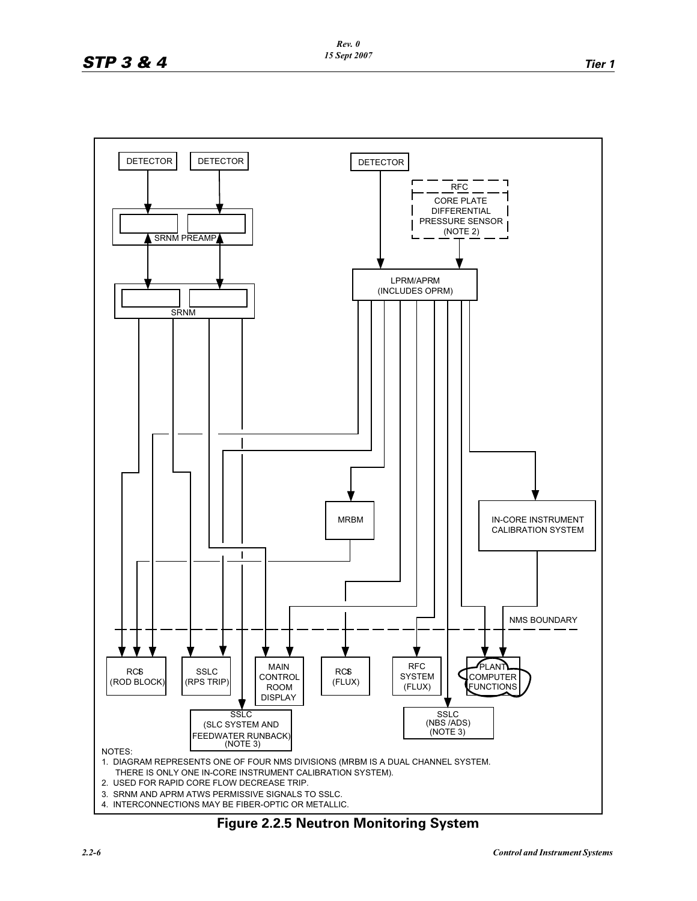

**Figure 2.2.5 Neutron Monitoring System**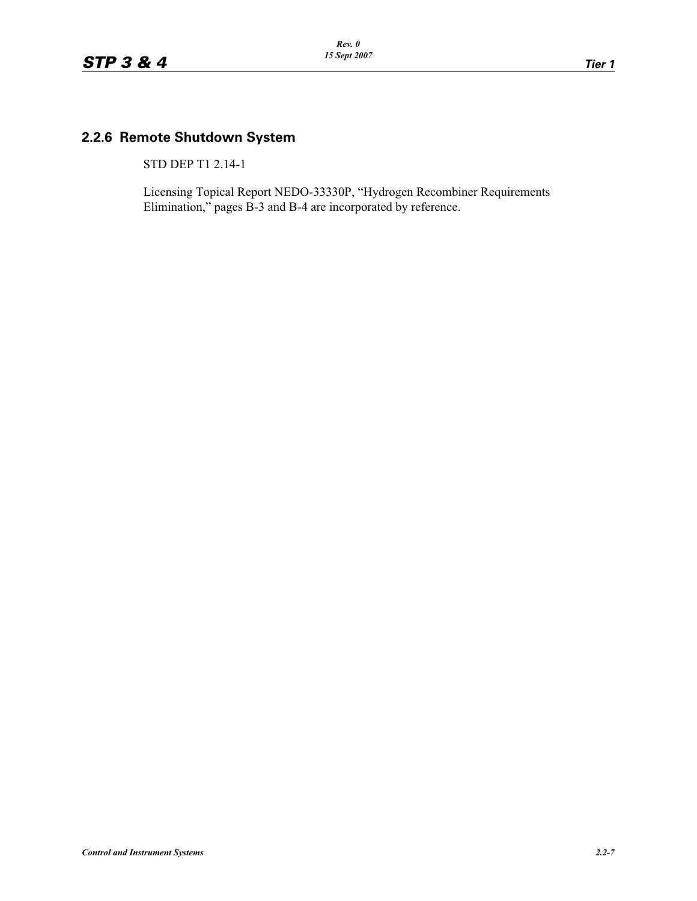# **2.2.6 Remote Shutdown System**

STD DEP T1 2.14-1

Licensing Topical Report NEDO-33330P, "Hydrogen Recombiner Requirements Elimination," pages B-3 and B-4 are incorporated by reference.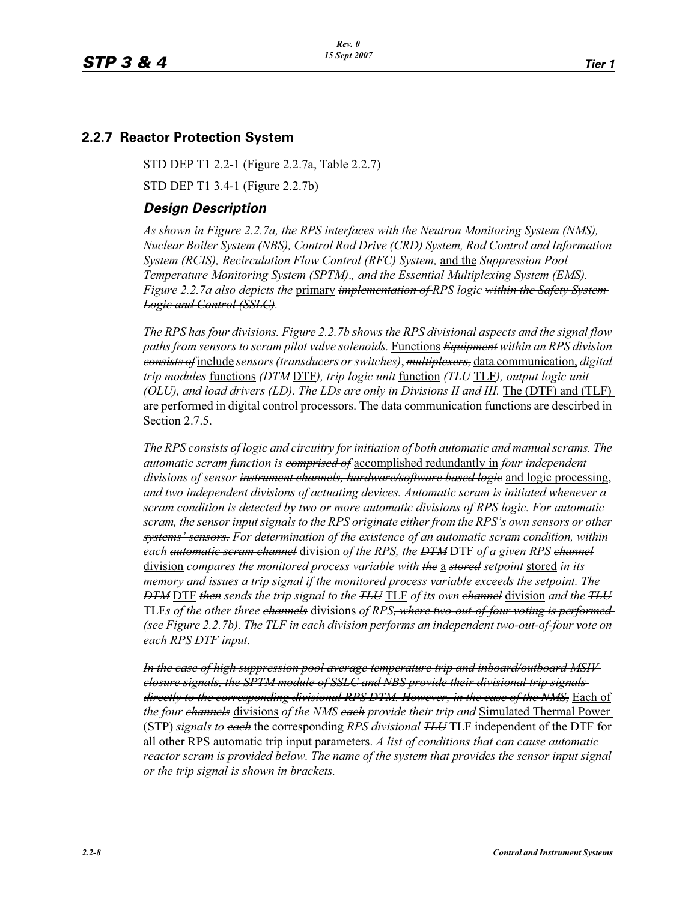### **2.2.7 Reactor Protection System**

STD DEP T1 2.2-1 (Figure 2.2.7a, Table 2.2.7)

STD DEP T1 3.4-1 (Figure 2.2.7b)

#### *Design Description*

*As shown in Figure 2.2.7a, the RPS interfaces with the Neutron Monitoring System (NMS), Nuclear Boiler System (NBS), Control Rod Drive (CRD) System, Rod Control and Information System (RCIS), Recirculation Flow Control (RFC) System,* and the *Suppression Pool Temperature Monitoring System (SPTM)*.*, and the Essential Multiplexing System (EMS). Figure 2.2.7a also depicts the* primary *implementation of RPS logic within the Safety System Logic and Control (SSLC).*

*The RPS has four divisions. Figure 2.2.7b shows the RPS divisional aspects and the signal flow paths from sensors to scram pilot valve solenoids.* Functions *Equipment within an RPS division consists of* include *sensors (transducers or switches)*, *multiplexers,* data communication, *digital trip modules* functions *(DTM* DTF*), trip logic unit* function *(TLU* TLF*), output logic unit (OLU), and load drivers (LD). The LDs are only in Divisions II and III.* The (DTF) and (TLF) are performed in digital control processors. The data communication functions are descirbed in Section 2.7.5.

*The RPS consists of logic and circuitry for initiation of both automatic and manual scrams. The automatic scram function is comprised of* accomplished redundantly in *four independent divisions of sensor instrument channels, hardware/software based logic* and logic processing, *and two independent divisions of actuating devices. Automatic scram is initiated whenever a scram condition is detected by two or more automatic divisions of RPS logic. For automatic scram, the sensor input signals to the RPS originate either from the RPS's own sensors or other systems' sensors. For determination of the existence of an automatic scram condition, within each automatic scram channel* division *of the RPS, the DTM* DTF *of a given RPS channel* division *compares the monitored process variable with the* a *stored setpoint* stored *in its memory and issues a trip signal if the monitored process variable exceeds the setpoint. The DTM* DTF *then sends the trip signal to the TLU* TLF *of its own channel* division *and the TLU* TLF*s of the other three channels* divisions *of RPS, where two-out-of-four voting is performed (see Figure 2.2.7b). The TLF in each division performs an independent two-out-of-four vote on each RPS DTF input.*

*In the case of high suppression pool average temperature trip and inboard/outboard MSIV closure signals, the SPTM module of SSLC and NBS provide their divisional trip signals directly to the corresponding divisional RPS DTM. However, in the case of the NMS,* Each of *the four channels* divisions *of the NMS each provide their trip and* Simulated Thermal Power (STP) *signals to each* the corresponding *RPS divisional TLU* TLF independent of the DTF for all other RPS automatic trip input parameters. *A list of conditions that can cause automatic reactor scram is provided below. The name of the system that provides the sensor input signal or the trip signal is shown in brackets.*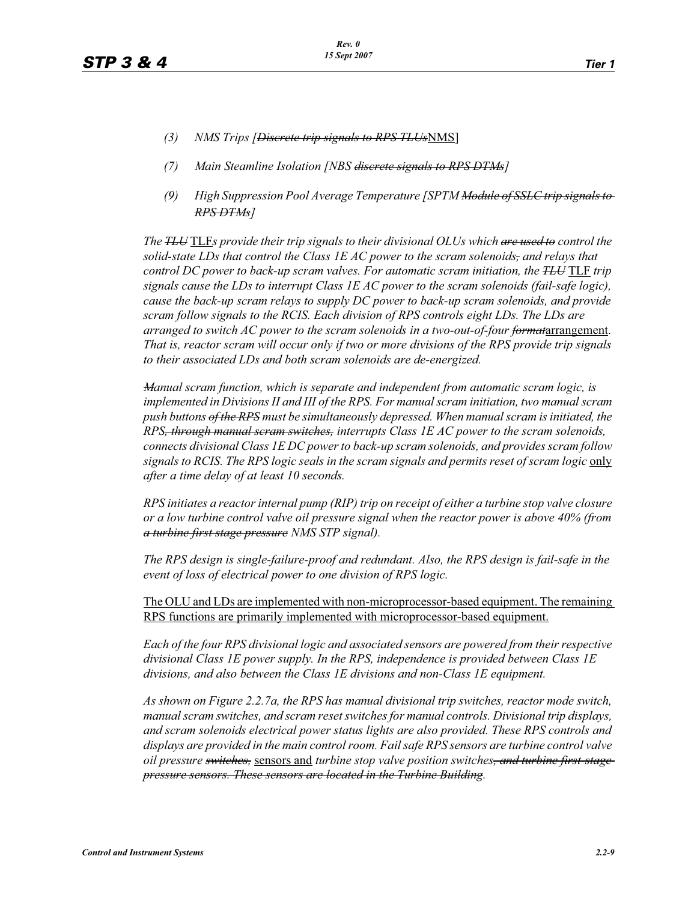- *(3) NMS Trips [Discrete trip signals to RPS TLUs*NMS]
- *(7) Main Steamline Isolation [NBS discrete signals to RPS DTMs]*
- *(9) High Suppression Pool Average Temperature [SPTM Module of SSLC trip signals to RPS DTMs]*

*The TLU* TLF*s provide their trip signals to their divisional OLUs which are used to control the solid-state LDs that control the Class 1E AC power to the scram solenoids, and relays that control DC power to back-up scram valves. For automatic scram initiation, the <del>TLU</del> TLF <i>trip signals cause the LDs to interrupt Class 1E AC power to the scram solenoids (fail-safe logic), cause the back-up scram relays to supply DC power to back-up scram solenoids, and provide scram follow signals to the RCIS. Each division of RPS controls eight LDs. The LDs are arranged to switch AC power to the scram solenoids in a two-out-of-four formatarrangement. That is, reactor scram will occur only if two or more divisions of the RPS provide trip signals to their associated LDs and both scram solenoids are de-energized.*

*Manual scram function, which is separate and independent from automatic scram logic, is implemented in Divisions II and III of the RPS. For manual scram initiation, two manual scram push buttons of the RPS must be simultaneously depressed. When manual scram is initiated, the RPS, through manual scram switches, interrupts Class 1E AC power to the scram solenoids, connects divisional Class 1E DC power to back-up scram solenoids, and provides scram follow signals to RCIS. The RPS logic seals in the scram signals and permits reset of scram logic* only *after a time delay of at least 10 seconds.*

*RPS initiates a reactor internal pump (RIP) trip on receipt of either a turbine stop valve closure or a low turbine control valve oil pressure signal when the reactor power is above 40% (from a turbine first stage pressure NMS STP signal).*

*The RPS design is single-failure-proof and redundant. Also, the RPS design is fail-safe in the event of loss of electrical power to one division of RPS logic.*

The OLU and LDs are implemented with non-microprocessor-based equipment. The remaining RPS functions are primarily implemented with microprocessor-based equipment.

*Each of the four RPS divisional logic and associated sensors are powered from their respective divisional Class 1E power supply. In the RPS, independence is provided between Class 1E divisions, and also between the Class 1E divisions and non-Class 1E equipment.*

*As shown on Figure 2.2.7a, the RPS has manual divisional trip switches, reactor mode switch, manual scram switches, and scram reset switches for manual controls. Divisional trip displays, and scram solenoids electrical power status lights are also provided. These RPS controls and displays are provided in the main control room. Fail safe RPS sensors are turbine control valve oil pressure switches,* sensors and *turbine stop valve position switches, and turbine first-stage pressure sensors. These sensors are located in the Turbine Building.*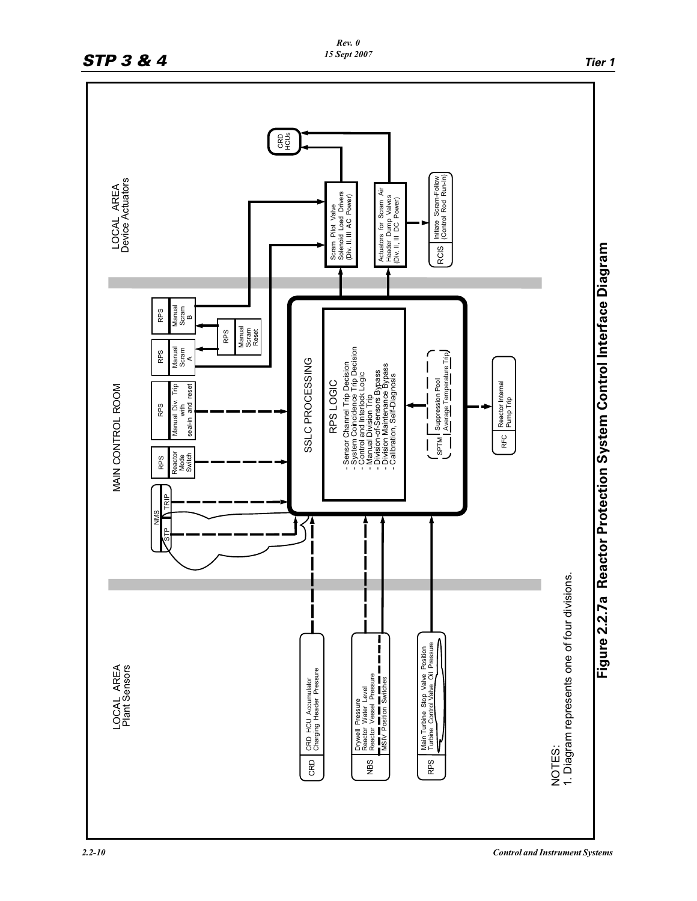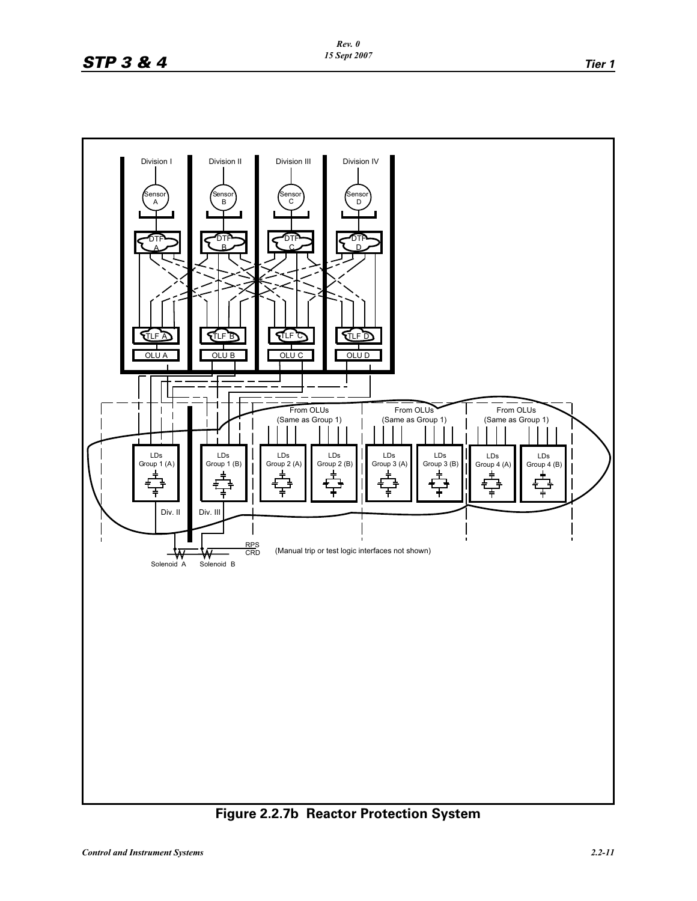

**Figure 2.2.7b Reactor Protection System**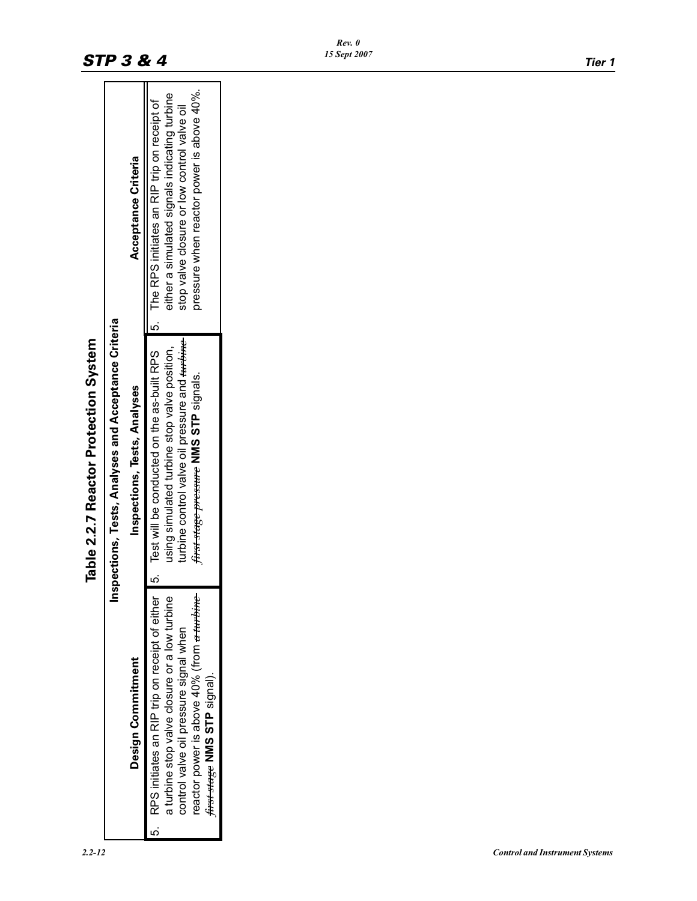|                                                                                                                                                                                                                                    | Table 2.2.7 Reactor Protection System                                                                                                                                                                                                                |                                                                                                                                           |
|------------------------------------------------------------------------------------------------------------------------------------------------------------------------------------------------------------------------------------|------------------------------------------------------------------------------------------------------------------------------------------------------------------------------------------------------------------------------------------------------|-------------------------------------------------------------------------------------------------------------------------------------------|
|                                                                                                                                                                                                                                    | Inspections, Tests, Analyses and Acceptance Criteria                                                                                                                                                                                                 |                                                                                                                                           |
| Design Commitment                                                                                                                                                                                                                  | Inspections, Tests, Analyses                                                                                                                                                                                                                         | Acceptance Criteria                                                                                                                       |
| reactor power is above 40% (from <del>a turbine</del><br>RPS initiates an RIP trip on receipt of either<br>a turbine stop valve closure or a low turbine<br>control valve oil pressure signal when<br>first stage NMS STP signal). | 5. Test will be conducted on the as-built RPS   5. The RPS initiates an RIP trip on receipt of<br>turbine control valve oil pressure and <del>turbine</del><br>using simulated turbine stop valve position,<br>first stage pressure NMS STP signals. | pressure when reactor power is above 40%.<br>either a simulated signals indicating turbine<br>stop valve closure or low control valve oil |

# **STP 3 & 4** *IS Sept 2007 Tier 1*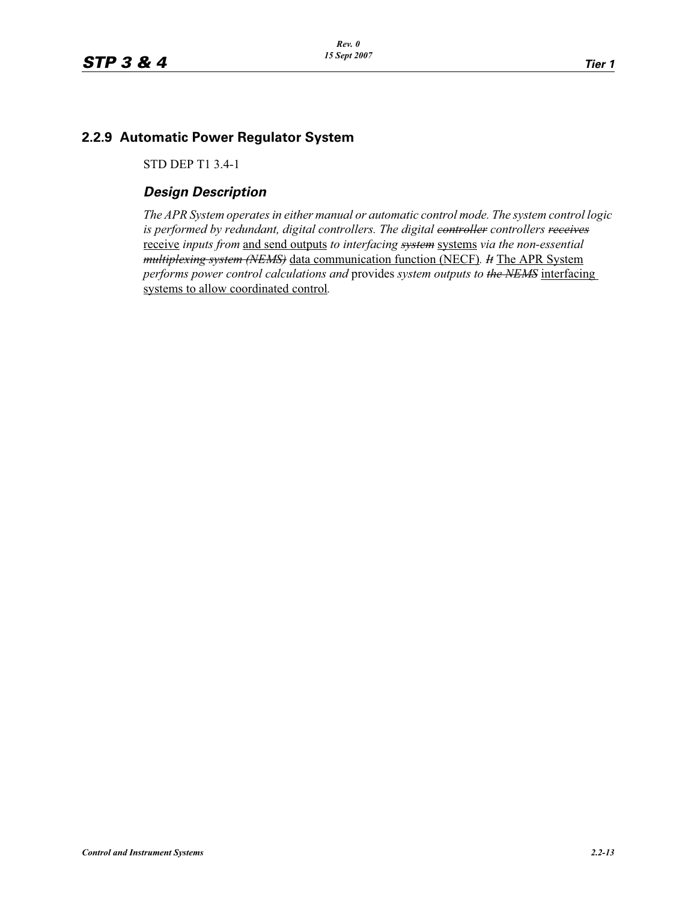# **2.2.9 Automatic Power Regulator System**

STD DEP T1 3.4-1

# *Design Description*

*The APR System operates in either manual or automatic control mode. The system control logic*  is performed by redundant, digital controllers. The digital controller controllers receives receive *inputs from* and send outputs *to interfacing system* systems *via the non-essential multiplexing system (NEMS)* data communication function (NECF)*. It* The APR System *performs power control calculations and* provides *system outputs to the NEMS* interfacing systems to allow coordinated control*.*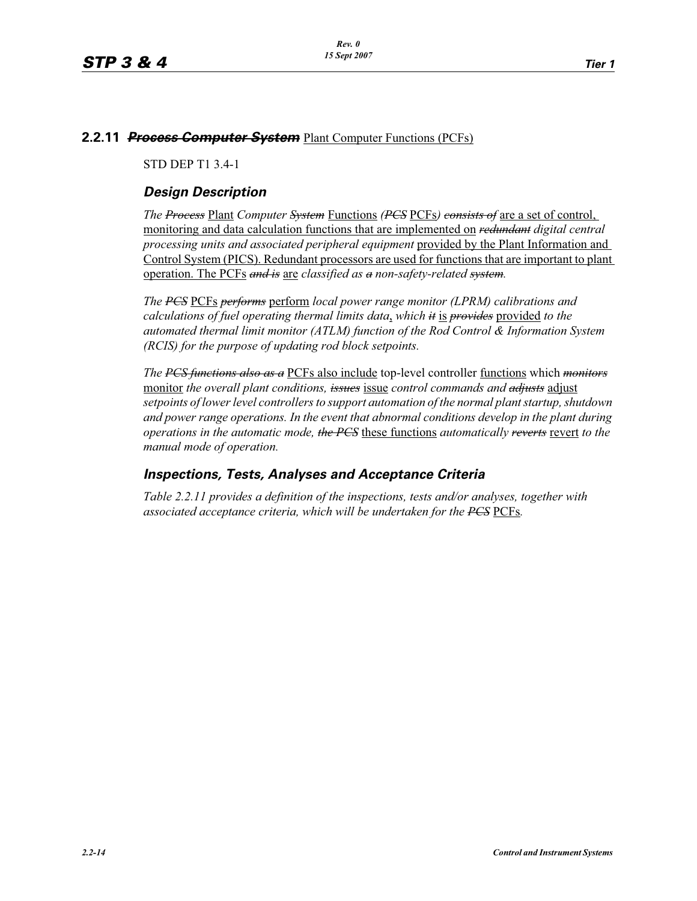#### **2.2.11** *Process Computer System* Plant Computer Functions (PCFs)

STD DEP T1 3.4-1

# *Design Description*

*The Process* Plant *Computer System* Functions *(PCS* PCFs*) consists of* are a set of control, monitoring and data calculation functions that are implemented on *redundant digital central processing units and associated peripheral equipment* provided by the Plant Information and Control System (PICS). Redundant processors are used for functions that are important to plant operation. The PCFs *and is* are *classified as a non-safety-related system.*

*The PCS* PCFs *performs* perform *local power range monitor (LPRM) calibrations and calculations of fuel operating thermal limits data*, *which it* is *provides* provided *to the automated thermal limit monitor (ATLM) function of the Rod Control & Information System (RCIS) for the purpose of updating rod block setpoints.*

*The PCS functions also as a* PCFs also include top-level controller functions which *monitors* monitor *the overall plant conditions, issues* issue *control commands and adjusts* adjust *setpoints of lower level controllers to support automation of the normal plant startup, shutdown and power range operations. In the event that abnormal conditions develop in the plant during operations in the automatic mode, the PCS* these functions *automatically reverts* revert *to the manual mode of operation.*

# *Inspections, Tests, Analyses and Acceptance Criteria*

*Table 2.2.11 provides a definition of the inspections, tests and/or analyses, together with associated acceptance criteria, which will be undertaken for the PCS* PCFs*.*